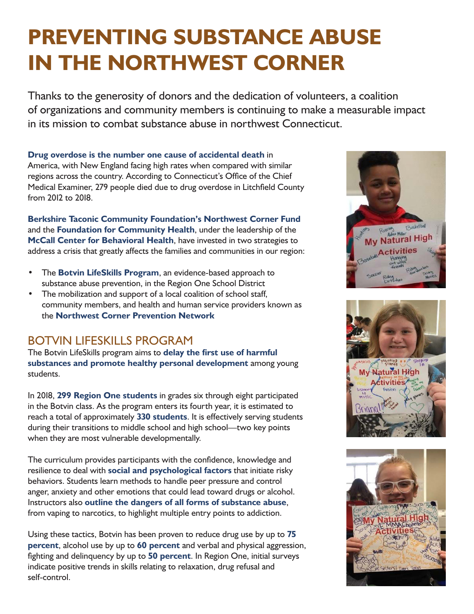# **PREVENTING SUBSTANCE ABUSE IN THE NORTHWEST CORNER**

Thanks to the generosity of donors and the dedication of volunteers, a coalition of organizations and community members is continuing to make a measurable impact in its mission to combat substance abuse in northwest Connecticut.

**Drug overdose is the number one cause of accidental death** in America, with New England facing high rates when compared with similar regions across the country. According to Connecticut's Office of the Chief Medical Examiner, 279 people died due to drug overdose in Litchfield County from 2012 to 2018.

**Berkshire Taconic Community Foundation's Northwest Corner Fund** and the **Foundation for Community Health**, under the leadership of the **McCall Center for Behavioral Health**, have invested in two strategies to address a crisis that greatly affects the families and communities in our region:

- The **Botvin LifeSkills Program**, an evidence-based approach to substance abuse prevention, in the Region One School District
- The mobilization and support of a local coalition of school staff, community members, and health and human service providers known as the **Northwest Corner Prevention Network**

#### BOTVIN LIFESKILLS PROGRAM

The Botvin LifeSkills program aims to **delay the first use of harmful substances and promote healthy personal development** among young students.

In 2018, **299 Region One students** in grades six through eight participated in the Botvin class. As the program enters its fourth year, it is estimated to reach a total of approximately **330 students**. It is effectively serving students during their transitions to middle school and high school—two key points when they are most vulnerable developmentally.

The curriculum provides participants with the confidence, knowledge and resilience to deal with **social and psychological factors** that initiate risky behaviors. Students learn methods to handle peer pressure and control anger, anxiety and other emotions that could lead toward drugs or alcohol. Instructors also **outline the dangers of all forms of substance abuse**, from vaping to narcotics, to highlight multiple entry points to addiction.

Using these tactics, Botvin has been proven to reduce drug use by up to **75 percent**, alcohol use by up to **60 percent** and verbal and physical aggression, fighting and delinquency by up to **50 percent**. In Region One, initial surveys indicate positive trends in skills relating to relaxation, drug refusal and self-control.